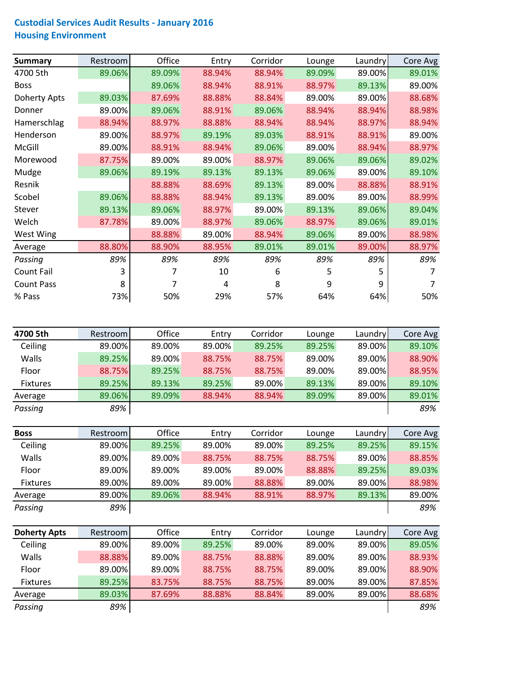## **Custodial Services Audit Results ‐ January 2016 Housing Environment**

| <b>Summary</b>      | Restroom | Office | Entry  | Corridor | Lounge | Laundry | Core Avg |
|---------------------|----------|--------|--------|----------|--------|---------|----------|
| 4700 5th            | 89.06%   | 89.09% | 88.94% | 88.94%   | 89.09% | 89.00%  | 89.01%   |
| <b>Boss</b>         |          | 89.06% | 88.94% | 88.91%   | 88.97% | 89.13%  | 89.00%   |
| <b>Doherty Apts</b> | 89.03%   | 87.69% | 88.88% | 88.84%   | 89.00% | 89.00%  | 88.68%   |
| Donner              | 89.00%   | 89.06% | 88.91% | 89.06%   | 88.94% | 88.94%  | 88.98%   |
| Hamerschlag         | 88.94%   | 88.97% | 88.88% | 88.94%   | 88.94% | 88.97%  | 88.94%   |
| Henderson           | 89.00%   | 88.97% | 89.19% | 89.03%   | 88.91% | 88.91%  | 89.00%   |
| McGill              | 89.00%   | 88.91% | 88.94% | 89.06%   | 89.00% | 88.94%  | 88.97%   |
| Morewood            | 87.75%   | 89.00% | 89.00% | 88.97%   | 89.06% | 89.06%  | 89.02%   |
| Mudge               | 89.06%   | 89.19% | 89.13% | 89.13%   | 89.06% | 89.00%  | 89.10%   |
| Resnik              |          | 88.88% | 88.69% | 89.13%   | 89.00% | 88.88%  | 88.91%   |
| Scobel              | 89.06%   | 88.88% | 88.94% | 89.13%   | 89.00% | 89.00%  | 88.99%   |
| Stever              | 89.13%   | 89.06% | 88.97% | 89.00%   | 89.13% | 89.06%  | 89.04%   |
| Welch               | 87.78%   | 89.00% | 88.97% | 89.06%   | 88.97% | 89.06%  | 89.01%   |
| West Wing           |          | 88.88% | 89.00% | 88.94%   | 89.06% | 89.00%  | 88.98%   |
| Average             | 88.80%   | 88.90% | 88.95% | 89.01%   | 89.01% | 89.00%  | 88.97%   |
| Passing             | 89%      | 89%    | 89%    | 89%      | 89%    | 89%     | 89%      |
| Count Fail          | 3        |        | 10     | 6        | 5      | 5       |          |
| <b>Count Pass</b>   | 8        |        | 4      | 8        | 9      | 9       |          |
| % Pass              | 73%      | 50%    | 29%    | 57%      | 64%    | 64%     | 50%      |

| 4700 5th        | Restroom | Office | Entry  | Corridor | Lounge | Laundry | Core Avg |
|-----------------|----------|--------|--------|----------|--------|---------|----------|
| Ceiling         | 89.00%   | 89.00% | 89.00% | 89.25%   | 89.25% | 89.00%  | 89.10%   |
| Walls           | 89.25%   | 89.00% | 88.75% | 88.75%   | 89.00% | 89.00%  | 88.90%   |
| Floor           | 88.75%   | 89.25% | 88.75% | 88.75%   | 89.00% | 89.00%  | 88.95%   |
| <b>Fixtures</b> | 89.25%   | 89.13% | 89.25% | 89.00%   | 89.13% | 89.00%  | 89.10%   |
| Average         | 89.06%   | 89.09% | 88.94% | 88.94%   | 89.09% | 89.00%  | 89.01%   |
| Passing         | 89%      |        |        |          |        |         | 89%      |

| <b>Boss</b>     | Restroom | Office | Entry  | Corridor | Lounge | Laundryl | Core Avg |
|-----------------|----------|--------|--------|----------|--------|----------|----------|
| Ceiling         | 89.00%   | 89.25% | 89.00% | 89.00%   | 89.25% | 89.25%   | 89.15%   |
| Walls           | 89.00%   | 89.00% | 88.75% | 88.75%   | 88.75% | 89.00%   | 88.85%   |
| Floor           | 89.00%   | 89.00% | 89.00% | 89.00%   | 88.88% | 89.25%   | 89.03%   |
| <b>Fixtures</b> | 89.00%   | 89.00% | 89.00% | 88.88%   | 89.00% | 89.00%   | 88.98%   |
| Average         | 89.00%   | 89.06% | 88.94% | 88.91%   | 88.97% | 89.13%   | 89.00%   |
| Passing         | 89%      |        |        |          |        |          | 89%      |

| <b>Doherty Apts</b> | Restroom | Office | Entry  | Corridor | Lounge | Laundry | Core Avg |
|---------------------|----------|--------|--------|----------|--------|---------|----------|
| Ceiling             | 89.00%   | 89.00% | 89.25% | 89.00%   | 89.00% | 89.00%  | 89.05%   |
| Walls               | 88.88%   | 89.00% | 88.75% | 88.88%   | 89.00% | 89.00%  | 88.93%   |
| Floor               | 89.00%   | 89.00% | 88.75% | 88.75%   | 89.00% | 89.00%  | 88.90%   |
| <b>Fixtures</b>     | 89.25%   | 83.75% | 88.75% | 88.75%   | 89.00% | 89.00%  | 87.85%   |
| Average             | 89.03%   | 87.69% | 88.88% | 88.84%   | 89.00% | 89.00%  | 88.68%   |
| Passing             | 89%      |        |        |          |        |         | 89%      |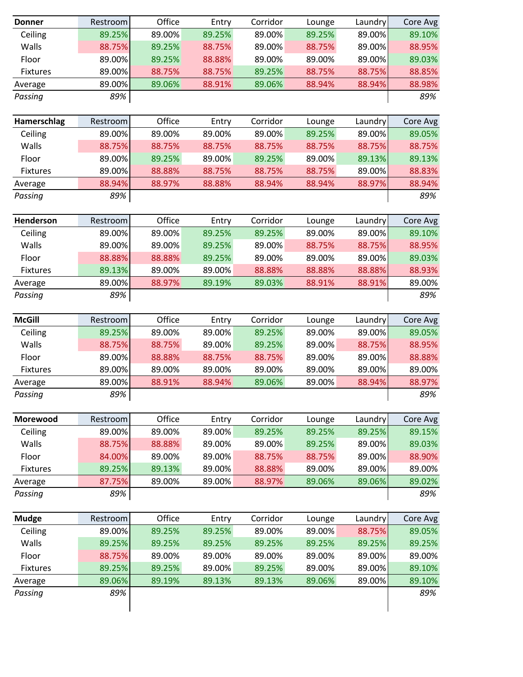| <b>Donner</b>   | Restroom | Office | Entry  | Corridor | Lounge | Laundry | Core Avg |
|-----------------|----------|--------|--------|----------|--------|---------|----------|
| Ceiling         | 89.25%   | 89.00% | 89.25% | 89.00%   | 89.25% | 89.00%  | 89.10%   |
| Walls           | 88.75%   | 89.25% | 88.75% | 89.00%   | 88.75% | 89.00%  | 88.95%   |
| Floor           | 89.00%   | 89.25% | 88.88% | 89.00%   | 89.00% | 89.00%  | 89.03%   |
| Fixtures        | 89.00%   | 88.75% | 88.75% | 89.25%   | 88.75% | 88.75%  | 88.85%   |
| Average         | 89.00%   | 89.06% | 88.91% | 89.06%   | 88.94% | 88.94%  | 88.98%   |
| Passing         | 89%      |        |        |          |        |         | 89%      |
|                 |          |        |        |          |        |         |          |
| Hamerschlag     | Restroom | Office | Entry  | Corridor | Lounge | Laundry | Core Avg |
| Ceiling         | 89.00%   | 89.00% | 89.00% | 89.00%   | 89.25% | 89.00%  | 89.05%   |
| Walls           | 88.75%   | 88.75% | 88.75% | 88.75%   | 88.75% | 88.75%  | 88.75%   |
| Floor           | 89.00%   | 89.25% | 89.00% | 89.25%   | 89.00% | 89.13%  | 89.13%   |
| <b>Fixtures</b> | 89.00%   | 88.88% | 88.75% | 88.75%   | 88.75% | 89.00%  | 88.83%   |
| Average         | 88.94%   | 88.97% | 88.88% | 88.94%   | 88.94% | 88.97%  | 88.94%   |
| Passing         | 89%      |        |        |          |        |         | 89%      |
|                 |          |        |        |          |        |         |          |
| Henderson       | Restroom | Office | Entry  | Corridor | Lounge | Laundry | Core Avg |
| Ceiling         | 89.00%   | 89.00% | 89.25% | 89.25%   | 89.00% | 89.00%  | 89.10%   |
| Walls           | 89.00%   | 89.00% | 89.25% | 89.00%   | 88.75% | 88.75%  | 88.95%   |
| Floor           | 88.88%   | 88.88% | 89.25% | 89.00%   | 89.00% | 89.00%  | 89.03%   |
| <b>Fixtures</b> | 89.13%   | 89.00% | 89.00% | 88.88%   | 88.88% | 88.88%  | 88.93%   |
| Average         | 89.00%   | 88.97% | 89.19% | 89.03%   | 88.91% | 88.91%  | 89.00%   |
| Passing         | 89%      |        |        |          |        |         | 89%      |
|                 |          |        |        |          |        |         |          |
| <b>McGill</b>   | Restroom | Office | Entry  | Corridor | Lounge | Laundry | Core Avg |
| Ceiling         | 89.25%   | 89.00% | 89.00% | 89.25%   | 89.00% | 89.00%  | 89.05%   |
| Walls           | 88.75%   | 88.75% | 89.00% | 89.25%   | 89.00% | 88.75%  | 88.95%   |
| Floor           | 89.00%   | 88.88% | 88.75% | 88.75%   | 89.00% | 89.00%  | 88.88%   |
| Fixtures        | 89.00%   | 89.00% | 89.00% | 89.00%   | 89.00% | 89.00%  | 89.00%   |
| Average         | 89.00%   | 88.91% | 88.94% | 89.06%   | 89.00% | 88.94%  | 88.97%   |
| Passing         | 89%      |        |        |          |        |         | 89%      |
|                 |          |        |        |          |        |         |          |
| Morewood        | Restroom | Office | Entry  | Corridor | Lounge | Laundry | Core Avg |
| Ceiling         | 89.00%   | 89.00% | 89.00% | 89.25%   | 89.25% | 89.25%  | 89.15%   |
| Walls           | 88.75%   | 88.88% | 89.00% | 89.00%   | 89.25% | 89.00%  | 89.03%   |
| Floor           | 84.00%   | 89.00% | 89.00% | 88.75%   | 88.75% | 89.00%  | 88.90%   |
| Fixtures        | 89.25%   | 89.13% | 89.00% | 88.88%   | 89.00% | 89.00%  | 89.00%   |
| Average         | 87.75%   | 89.00% | 89.00% | 88.97%   | 89.06% | 89.06%  | 89.02%   |
| Passing         | 89%      |        |        |          |        |         | 89%      |
|                 |          |        |        |          |        |         |          |
| <b>Mudge</b>    | Restroom | Office | Entry  | Corridor | Lounge | Laundry | Core Avg |
| Ceiling         | 89.00%   | 89.25% | 89.25% | 89.00%   | 89.00% | 88.75%  | 89.05%   |
| Walls           | 89.25%   | 89.25% | 89.25% | 89.25%   | 89.25% | 89.25%  | 89.25%   |
| Floor           | 88.75%   | 89.00% | 89.00% | 89.00%   | 89.00% | 89.00%  | 89.00%   |
| <b>Fixtures</b> | 89.25%   | 89.25% | 89.00% | 89.25%   | 89.00% | 89.00%  | 89.10%   |
| Average         | 89.06%   | 89.19% | 89.13% | 89.13%   | 89.06% | 89.00%  | 89.10%   |
| Passing         | 89%      |        |        |          |        |         | 89%      |
|                 |          |        |        |          |        |         |          |
|                 |          |        |        |          |        |         |          |